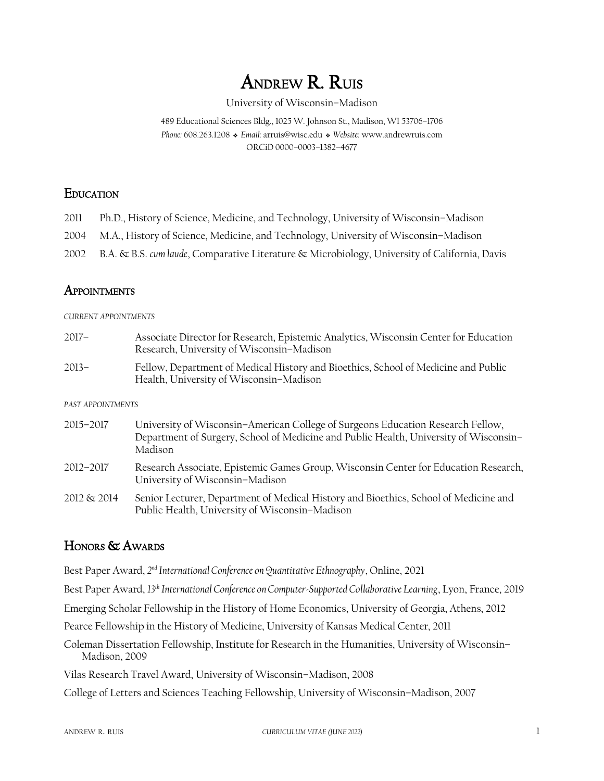# ANDREW R. RUIS

#### University of Wisconsin–Madison

489 Educational Sciences Bldg., 1025 W. Johnson St., Madison, WI 53706–1706 *Phone:* 608.263.1208❖ *Email:* arruis@wisc.edu❖ *Website:* www.andrewruis.com ORCiD 0000–0003–1382–4677

### **EDUCATION**

- 2011 Ph.D., History of Science, Medicine, and Technology, University of Wisconsin–Madison
- 2004 M.A., History of Science, Medicine, and Technology, University of Wisconsin–Madison
- 2002 B.A. & B.S. *cum laude*, Comparative Literature & Microbiology, University of California, Davis

# **APPOINTMENTS**

#### *CURRENT APPOINTMENTS*

2017– Associate Director for Research, Epistemic Analytics, Wisconsin Center for Education Research, University of Wisconsin–Madison 2013– Fellow, Department of Medical History and Bioethics, School of Medicine and Public Health, University of Wisconsin–Madison

#### *PAST APPOINTMENTS*

2015–2017 University of Wisconsin–American College of Surgeons Education Research Fellow, Department of Surgery, School of Medicine and Public Health, University of Wisconsin– Madison 2012–2017 Research Associate, Epistemic Games Group, Wisconsin Center for Education Research, University of Wisconsin–Madison 2012 & 2014 Senior Lecturer, Department of Medical History and Bioethics, School of Medicine and Public Health, University of Wisconsin–Madison

# HONORS & AWARDS

Best Paper Award, 2<sup>nd</sup> International Conference on Quantitative Ethnography, Online, 2021

Best Paper Award, *13th International Conference on Computer-Supported Collaborative Learning*, Lyon, France, 2019

Emerging Scholar Fellowship in the History of Home Economics, University of Georgia, Athens, 2012

Pearce Fellowship in the History of Medicine, University of Kansas Medical Center, 2011

Coleman Dissertation Fellowship, Institute for Research in the Humanities, University of Wisconsin– Madison, 2009

Vilas Research Travel Award, University of Wisconsin–Madison, 2008

College of Letters and Sciences Teaching Fellowship, University of Wisconsin–Madison, 2007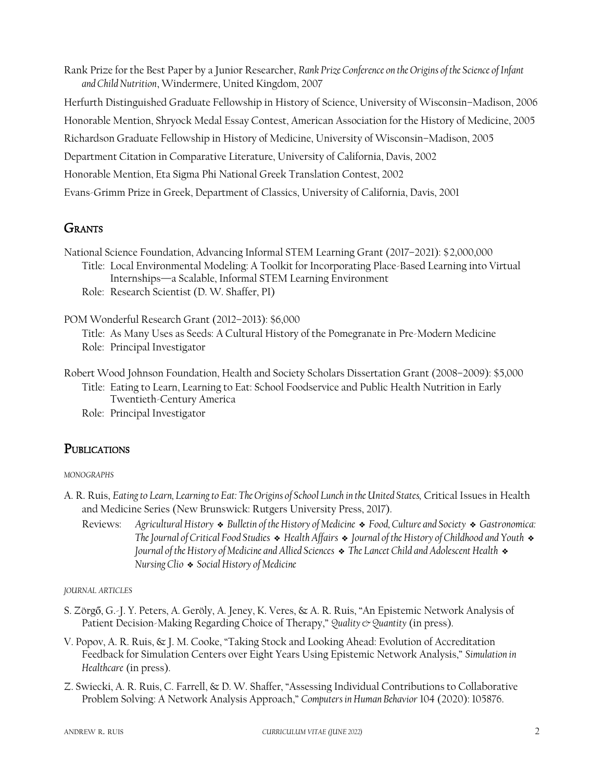Rank Prize for the Best Paper by a Junior Researcher, *Rank Prize Conference on the Origins of the Science of Infant and Child Nutrition*, Windermere, United Kingdom, 2007 Herfurth Distinguished Graduate Fellowship in History of Science, University of Wisconsin–Madison, 2006 Honorable Mention, Shryock Medal Essay Contest, American Association for the History of Medicine, 2005 Richardson Graduate Fellowship in History of Medicine, University of Wisconsin–Madison, 2005 Department Citation in Comparative Literature, University of California, Davis, 2002 Honorable Mention, Eta Sigma Phi National Greek Translation Contest, 2002

Evans-Grimm Prize in Greek, Department of Classics, University of California, Davis, 2001

# **GRANTS**

National Science Foundation, Advancing Informal STEM Learning Grant (2017–2021): \$2,000,000

- Title: Local Environmental Modeling: A Toolkit for Incorporating Place-Based Learning into Virtual Internships—a Scalable, Informal STEM Learning Environment
	- Role: Research Scientist (D. W. Shaffer, PI)

POM Wonderful Research Grant (2012–2013): \$6,000

Title: As Many Uses as Seeds: A Cultural History of the Pomegranate in Pre-Modern Medicine Role: Principal Investigator

- Robert Wood Johnson Foundation, Health and Society Scholars Dissertation Grant (2008–2009): \$5,000 Title: Eating to Learn, Learning to Eat: School Foodservice and Public Health Nutrition in Early
	- Twentieth-Century America
	- Role: Principal Investigator

# **PUBLICATIONS**

### *MONOGRAPHS*

- A. R. Ruis, *Eating to Learn, Learning to Eat: The Origins of School Lunch in the United States,* Critical Issues in Health and Medicine Series (New Brunswick: Rutgers University Press, 2017).
	- Reviews: *Agricultural History* ❖ *Bulletin of the History of Medicine* ❖ *Food, Culture and Society* ❖ *Gastronomica: The Journal of Critical Food Studies* ❖ *Health Affairs* ❖ *Journal of the History of Childhood and Youth* ❖ *Journal of the History of Medicine and Allied Sciences* ❖ *The Lancet Child and Adolescent Health* ❖ *Nursing Clio* ❖ *Social History of Medicine*

*JOURNAL ARTICLES*

- S. Zörgő, G.-J. Y. Peters, A. Geröly, A. Jeney, K. Veres, & A. R. Ruis, "An Epistemic Network Analysis of Patient Decision-Making Regarding Choice of Therapy," Quality & Quantity (in press).
- V. Popov, A. R. Ruis, & J. M. Cooke, "Taking Stock and Looking Ahead: Evolution of Accreditation Feedback for Simulation Centers over Eight Years Using Epistemic Network Analysis," *Simulation in Healthcare* (in press).
- Z. Swiecki, A. R. Ruis, C. Farrell, & D. W. Shaffer, "Assessing Individual Contributions to Collaborative Problem Solving: A Network Analysis Approach," *Computers in Human Behavior* 104 (2020): 105876.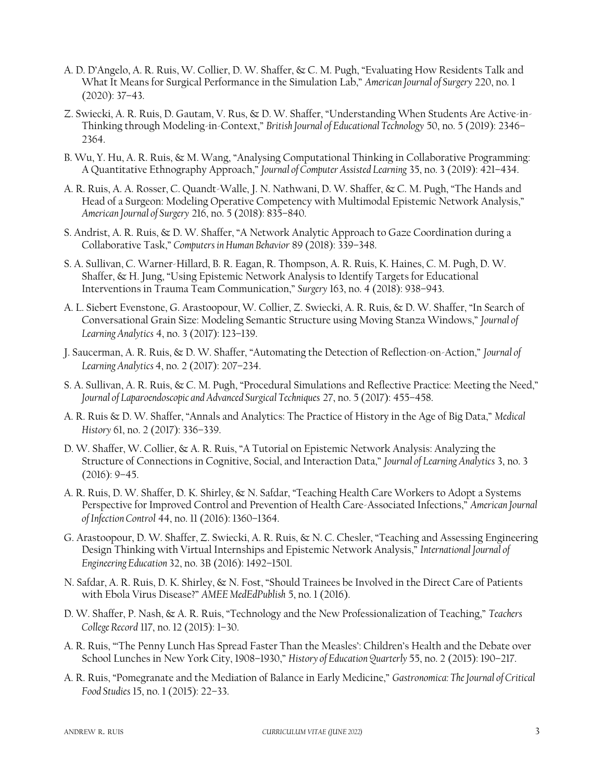- A. D. D'Angelo, A. R. Ruis, W. Collier, D. W. Shaffer, & C. M. Pugh, "Evaluating How Residents Talk and What It Means for Surgical Performance in the Simulation Lab," *American Journal of Surgery* 220, no. 1 (2020): 37–43.
- Z. Swiecki, A. R. Ruis, D. Gautam, V. Rus, & D. W. Shaffer, "Understanding When Students Are Active-in-Thinking through Modeling-in-Context," *British Journal of Educational Technology* 50, no. 5 (2019): 2346– 2364.
- B. Wu, Y. Hu, A. R. Ruis, & M. Wang, "Analysing Computational Thinking in Collaborative Programming: A Quantitative Ethnography Approach," *Journal of Computer Assisted Learning* 35, no. 3 (2019): 421–434.
- A. R. Ruis, A. A. Rosser, C. Quandt-Walle, J. N. Nathwani, D. W. Shaffer, & C. M. Pugh, "The Hands and Head of a Surgeon: Modeling Operative Competency with Multimodal Epistemic Network Analysis," *American Journal of Surgery* 216, no. 5 (2018): 835–840.
- S. Andrist, A. R. Ruis, & D. W. Shaffer, "A Network Analytic Approach to Gaze Coordination during a Collaborative Task," *Computers in Human Behavior* 89 (2018): 339–348.
- S. A. Sullivan, C. Warner-Hillard, B. R. Eagan, R. Thompson, A. R. Ruis, K. Haines, C. M. Pugh, D. W. Shaffer, & H. Jung, "Using Epistemic Network Analysis to Identify Targets for Educational Interventions in Trauma Team Communication," *Surgery* 163, no. 4 (2018): 938–943.
- A. L. Siebert Evenstone, G. Arastoopour, W. Collier, Z. Swiecki, A. R. Ruis, & D. W. Shaffer, "In Search of Conversational Grain Size: Modeling Semantic Structure using Moving Stanza Windows," *Journal of Learning Analytics* 4, no. 3 (2017): 123–139.
- J. Saucerman, A. R. Ruis, & D. W. Shaffer, "Automating the Detection of Reflection-on-Action," *Journal of Learning Analytics* 4, no. 2 (2017): 207–234.
- S. A. Sullivan, A. R. Ruis, & C. M. Pugh, "Procedural Simulations and Reflective Practice: Meeting the Need," *Journal of Laparoendoscopic and Advanced Surgical Techniques* 27, no. 5 (2017): 455–458.
- A. R. Ruis & D. W. Shaffer, "Annals and Analytics: The Practice of History in the Age of Big Data," *Medical History* 61, no. 2 (2017): 336–339.
- D. W. Shaffer, W. Collier, & A. R. Ruis, "A Tutorial on Epistemic Network Analysis: Analyzing the Structure of Connections in Cognitive, Social, and Interaction Data," *Journal of Learning Analytics* 3, no. 3  $(2016): 9-45.$
- A. R. Ruis, D. W. Shaffer, D. K. Shirley, & N. Safdar, "Teaching Health Care Workers to Adopt a Systems Perspective for Improved Control and Prevention of Health Care-Associated Infections," *American Journal of Infection Control* 44, no. 11 (2016): 1360–1364.
- G. Arastoopour, D. W. Shaffer, Z. Swiecki, A. R. Ruis, & N. C. Chesler, "Teaching and Assessing Engineering Design Thinking with Virtual Internships and Epistemic Network Analysis," *International Journal of Engineering Education* 32, no. 3B (2016): 1492–1501.
- N. Safdar, A. R. Ruis, D. K. Shirley, & N. Fost, "Should Trainees be Involved in the Direct Care of Patients with Ebola Virus Disease?" *AMEE MedEdPublish* 5, no. 1 (2016).
- D. W. Shaffer, P. Nash, & A. R. Ruis, "Technology and the New Professionalization of Teaching," *Teachers College Record* 117, no. 12 (2015): 1–30.
- A. R. Ruis, "'The Penny Lunch Has Spread Faster Than the Measles': Children's Health and the Debate over School Lunches in New York City, 1908–1930," *History of Education Quarterly* 55, no. 2 (2015): 190–217.
- A. R. Ruis, "Pomegranate and the Mediation of Balance in Early Medicine," *Gastronomica: The Journal of Critical Food Studies* 15, no. 1 (2015): 22–33.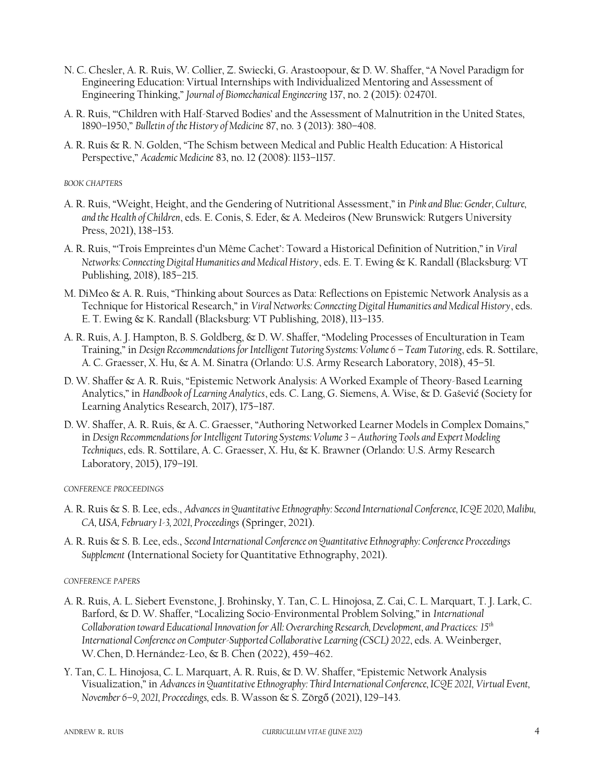- N. C. Chesler, A. R. Ruis, W. Collier, Z. Swiecki, G. Arastoopour, & D. W. Shaffer, "A Novel Paradigm for Engineering Education: Virtual Internships with Individualized Mentoring and Assessment of Engineering Thinking," *Journal of Biomechanical Engineering* 137, no. 2 (2015): 024701.
- A. R. Ruis, "'Children with Half-Starved Bodies' and the Assessment of Malnutrition in the United States, 1890–1950," *Bulletin of the History of Medicine* 87, no. 3 (2013): 380–408.
- A. R. Ruis & R. N. Golden, "The Schism between Medical and Public Health Education: A Historical Perspective," *Academic Medicine* 83, no. 12 (2008): 1153–1157.

#### *BOOK CHAPTERS*

- A. R. Ruis, "Weight, Height, and the Gendering of Nutritional Assessment," in *Pink and Blue: Gender, Culture, and the Health of Children*, eds. E. Conis, S. Eder, & A. Medeiros (New Brunswick: Rutgers University Press, 2021), 138–153.
- A. R. Ruis, "'Trois Empreintes d'un Même Cachet': Toward a Historical Definition of Nutrition," in *Viral Networks: Connecting Digital Humanities and Medical History*, eds. E. T. Ewing & K. Randall (Blacksburg: VT Publishing, 2018), 185–215.
- M. DiMeo & A. R. Ruis, "Thinking about Sources as Data: Reflections on Epistemic Network Analysis as a Technique for Historical Research," in *Viral Networks: Connecting Digital Humanities and Medical History*, eds. E. T. Ewing & K. Randall (Blacksburg: VT Publishing, 2018), 113–135.
- A. R. Ruis, A. J. Hampton, B. S. Goldberg, & D. W. Shaffer, "Modeling Processes of Enculturation in Team Training," in *Design Recommendations for Intelligent Tutoring Systems: Volume 6 – Team Tutoring*, eds. R. Sottilare, A. C. Graesser, X. Hu, & A. M. Sinatra (Orlando: U.S. Army Research Laboratory, 2018), 45–51.
- D. W. Shaffer & A. R. Ruis, "Epistemic Network Analysis: A Worked Example of Theory-Based Learning Analytics," in *Handbook of Learning Analytics*, eds. C. Lang, G. Siemens, A. Wise, & D. Gašević (Society for Learning Analytics Research, 2017), 175–187.
- D. W. Shaffer, A. R. Ruis, & A. C. Graesser, "Authoring Networked Learner Models in Complex Domains," in *Design Recommendations for Intelligent Tutoring Systems: Volume 3 – Authoring Tools and Expert Modeling Techniques*, eds. R. Sottilare, A. C. Graesser, X. Hu, & K. Brawner (Orlando: U.S. Army Research Laboratory, 2015), 179–191.

#### *CONFERENCE PROCEEDINGS*

- A. R. Ruis & S. B. Lee, eds., *Advances in Quantitative Ethnography: Second International Conference, ICQE 2020, Malibu, CA, USA, February 1-3, 2021, Proceedings* (Springer, 2021).
- A. R. Ruis & S. B. Lee, eds., *Second International Conference on Quantitative Ethnography: Conference Proceedings Supplement* (International Society for Quantitative Ethnography, 2021).

#### *CONFERENCE PAPERS*

- A. R. Ruis, A. L. Siebert Evenstone, J. Brohinsky, Y. Tan, C. L. Hinojosa, Z. Cai, C. L. Marquart, T. J. Lark, C. Barford, & D. W. Shaffer, "Localizing Socio-Environmental Problem Solving," in *International Collaboration toward Educational Innovation for All: Overarching Research, Development, and Practices: 15th International Conference on Computer-Supported Collaborative Learning (CSCL) 2022*, eds. A. Weinberger, W.Chen, D.Hernández-Leo, & B. Chen (2022), 459–462.
- Y. Tan, C. L. Hinojosa, C. L. Marquart, A. R. Ruis, & D. W. Shaffer, "Epistemic Network Analysis Visualization," in *Advances in Quantitative Ethnography: Third International Conference, ICQE 2021, Virtual Event, November 6–9, 2021, Proceedings,* eds. B. Wasson & S. Zörgő (2021), 129–143.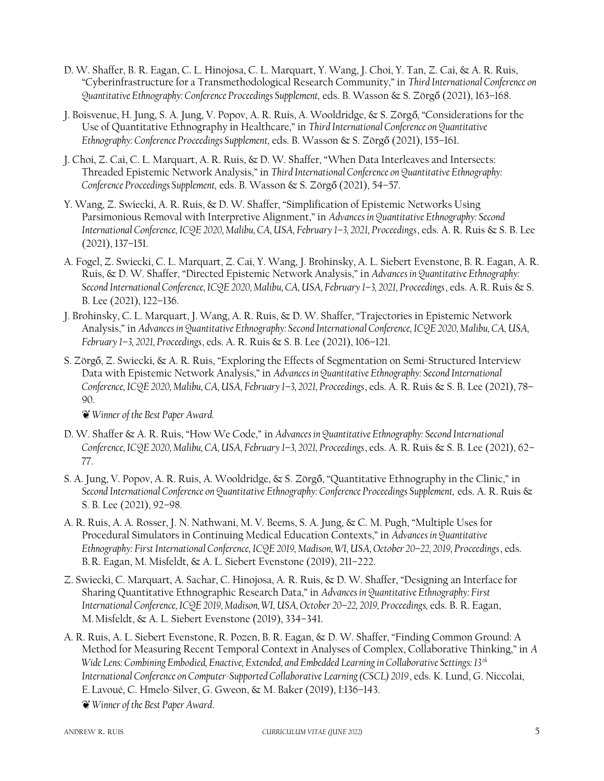- D. W. Shaffer, B. R. Eagan, C. L. Hinojosa, C. L. Marquart, Y. Wang, J. Choi, Y. Tan, Z. Cai, & A. R. Ruis, "Cyberinfrastructure for a Transmethodological Research Community," in *Third International Conference on Quantitative Ethnography: Conference Proceedings Supplement,* eds. B. Wasson & S. Zörgő (2021), 163–168.
- J. Boisvenue, H. Jung, S. A. Jung, V. Popov, A. R. Ruis, A. Wooldridge, & S. Zörgő, "Considerations for the Use of Quantitative Ethnography in Healthcare," in *Third International Conference on Quantitative Ethnography: Conference Proceedings Supplement, eds. B. Wasson & S. Zörgő (2021), 155-161.*
- J. Choi, Z. Cai, C. L. Marquart, A. R. Ruis, & D. W. Shaffer, "When Data Interleaves and Intersects: Threaded Epistemic Network Analysis," in *Third International Conference on Quantitative Ethnography: Conference Proceedings Supplement, eds. B. Wasson & S. Zörgő (2021), 54–57.*
- Y. Wang, Z. Swiecki, A. R. Ruis, & D. W. Shaffer, "Simplification of Epistemic Networks Using Parsimonious Removal with Interpretive Alignment," in *Advances in Quantitative Ethnography: Second International Conference, ICQE 2020, Malibu, CA, USA, February 1–3, 2021, Proceedings*, eds. A. R. Ruis & S. B. Lee (2021), 137–151.
- A. Fogel, Z. Swiecki, C. L. Marquart, Z. Cai, Y. Wang, J. Brohinsky, A. L. Siebert Evenstone, B. R. Eagan, A. R. Ruis, & D. W. Shaffer, "Directed Epistemic Network Analysis," in *Advances in Quantitative Ethnography: Second International Conference, ICQE 2020, Malibu, CA, USA, February 1–3, 2021, Proceedings*, eds. A.R. Ruis & S. B. Lee (2021), 122–136.
- J. Brohinsky, C. L. Marquart, J. Wang, A. R. Ruis, & D. W. Shaffer, "Trajectories in Epistemic Network Analysis," in *Advances in Quantitative Ethnography: Second International Conference, ICQE 2020, Malibu, CA, USA, February 1–3, 2021, Proceedings*, eds. A. R. Ruis & S. B. Lee (2021), 106–121.
- S. Zörgő, Z. Swiecki, & A. R. Ruis, "Exploring the Effects of Segmentation on Semi-Structured Interview Data with Epistemic Network Analysis," in *Advances in Quantitative Ethnography: Second International Conference, ICQE 2020, Malibu, CA, USA, February 1–3, 2021, Proceedings*, eds. A. R. Ruis & S. B. Lee (2021), 78– 90.

❦ *Winner of the Best Paper Award.*

- D. W. Shaffer & A. R. Ruis, "How We Code," in *Advances in Quantitative Ethnography: Second International Conference, ICQE 2020, Malibu, CA, USA, February 1–3, 2021, Proceedings*, eds. A. R. Ruis & S. B. Lee (2021), 62– 77.
- S. A. Jung, V. Popov, A. R. Ruis, A. Wooldridge, & S. Zörgő, "Quantitative Ethnography in the Clinic," in *Second International Conference on Quantitative Ethnography: Conference Proceedings Supplement,* eds. A. R. Ruis & S. B. Lee (2021), 92–98.
- A. R. Ruis, A. A. Rosser, J. N. Nathwani, M. V. Beems, S. A. Jung, & C. M. Pugh, "Multiple Uses for Procedural Simulators in Continuing Medical Education Contexts," in *Advances in Quantitative Ethnography: First International Conference, ICQE 2019, Madison, WI, USA, October 20–22, 2019, Proceedings*, eds. B.R. Eagan, M. Misfeldt, & A. L. Siebert Evenstone (2019), 211–222.
- Z. Swiecki, C. Marquart, A. Sachar, C. Hinojosa, A. R. Ruis, & D. W. Shaffer, "Designing an Interface for Sharing Quantitative Ethnographic Research Data," in *Advances in Quantitative Ethnography: First International Conference, ICQE 2019, Madison, WI, USA, October 20–22, 2019, Proceedings,* eds. B. R. Eagan, M.Misfeldt, & A. L. Siebert Evenstone (2019), 334–341.
- A. R. Ruis, A. L. Siebert Evenstone, R. Pozen, B. R. Eagan, & D. W. Shaffer, "Finding Common Ground: A Method for Measuring Recent Temporal Context in Analyses of Complex, Collaborative Thinking," in *A Wide Lens: Combining Embodied, Enactive, Extended, and Embedded Learning in Collaborative Settings: 13th International Conference on Computer-Supported Collaborative Learning (CSCL) 2019*, eds. K. Lund, G. Niccolai, E.Lavoué, C. Hmelo-Silver, G. Gweon, & M. Baker (2019), I:136–143.
	- ❦ *Winner of the Best Paper Award*.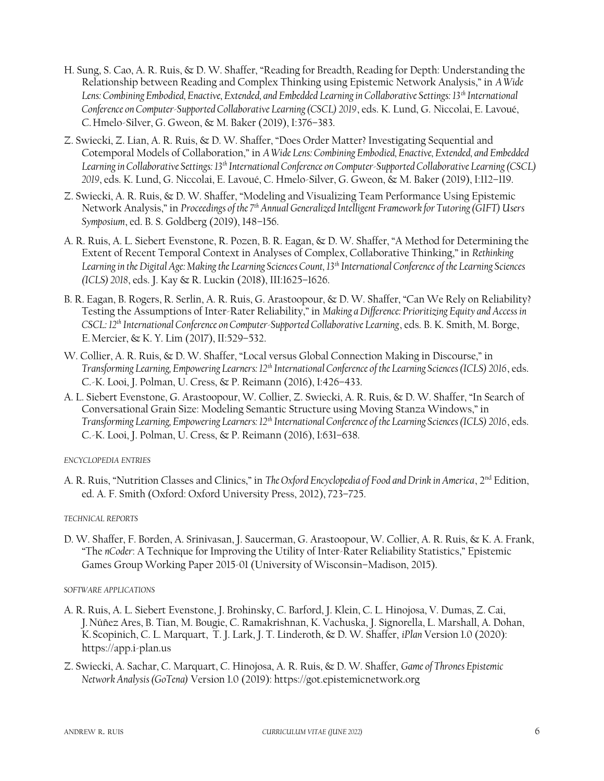- H. Sung, S. Cao, A. R. Ruis, & D. W. Shaffer, "Reading for Breadth, Reading for Depth: Understanding the Relationship between Reading and Complex Thinking using Epistemic Network Analysis," in *A Wide Lens: Combining Embodied, Enactive, Extended, and Embedded Learning in Collaborative Settings: 13th International Conference on Computer-Supported Collaborative Learning (CSCL) 2019*, eds. K. Lund, G. Niccolai, E. Lavoué, C.Hmelo-Silver, G. Gweon, & M. Baker (2019), I:376–383.
- Z. Swiecki, Z. Lian, A. R. Ruis, & D. W. Shaffer, "Does Order Matter? Investigating Sequential and Cotemporal Models of Collaboration," in *A Wide Lens: Combining Embodied, Enactive, Extended, and Embedded Learning in Collaborative Settings: 13th International Conference on Computer-Supported Collaborative Learning (CSCL) 2019*, eds. K. Lund, G. Niccolai, E. Lavoué, C. Hmelo-Silver, G. Gweon, & M. Baker (2019), I:112–119.
- Z. Swiecki, A. R. Ruis, & D. W. Shaffer, "Modeling and Visualizing Team Performance Using Epistemic Network Analysis," in *Proceedings of the 7th Annual Generalized Intelligent Framework for Tutoring (GIFT) Users Symposium*, ed. B. S. Goldberg (2019), 148–156.
- A. R. Ruis, A. L. Siebert Evenstone, R. Pozen, B. R. Eagan, & D. W. Shaffer, "A Method for Determining the Extent of Recent Temporal Context in Analyses of Complex, Collaborative Thinking," in *Rethinking Learning in the Digital Age: Making the Learning Sciences Count, 13th International Conference of the Learning Sciences (ICLS) 2018*, eds. J. Kay & R. Luckin (2018), III:1625–1626.
- B. R. Eagan, B. Rogers, R. Serlin, A. R. Ruis, G. Arastoopour, & D. W. Shaffer, "Can We Rely on Reliability? Testing the Assumptions of Inter-Rater Reliability," in *Making a Difference: Prioritizing Equity and Access in CSCL: 12th International Conference on Computer-Supported Collaborative Learning*, eds. B. K. Smith, M. Borge, E.Mercier, & K. Y. Lim (2017), II:529–532.
- W. Collier, A. R. Ruis, & D. W. Shaffer, "Local versus Global Connection Making in Discourse," in *Transforming Learning, Empowering Learners: 12th International Conference of the Learning Sciences (ICLS) 2016*, eds. C.-K. Looi, J. Polman, U. Cress, & P. Reimann (2016), I:426–433.
- A. L. Siebert Evenstone, G. Arastoopour, W. Collier, Z. Swiecki, A. R. Ruis, & D. W. Shaffer, "In Search of Conversational Grain Size: Modeling Semantic Structure using Moving Stanza Windows," in *Transforming Learning, Empowering Learners: 12th International Conference of the Learning Sciences (ICLS) 2016*, eds. C.-K. Looi, J. Polman, U. Cress, & P. Reimann (2016), I:631–638.

#### *ENCYCLOPEDIA ENTRIES*

A. R. Ruis, "Nutrition Classes and Clinics," in *The Oxford Encyclopedia of Food and Drink in America*, 2<sup>nd</sup> Edition, ed. A. F. Smith (Oxford: Oxford University Press, 2012), 723–725.

#### *TECHNICAL REPORTS*

D. W. Shaffer, F. Borden, A. Srinivasan, J. Saucerman, G. Arastoopour, W. Collier, A. R. Ruis, & K. A. Frank, "The *nCoder*: A Technique for Improving the Utility of Inter-Rater Reliability Statistics," Epistemic Games Group Working Paper 2015-01 (University of Wisconsin–Madison, 2015).

#### *SOFTWARE APPLICATIONS*

- A. R. Ruis, A. L. Siebert Evenstone, J. Brohinsky, C. Barford, J. Klein, C. L. Hinojosa, V. Dumas, Z. Cai, J.Núñez Ares, B. Tian, M. Bougie, C. Ramakrishnan, K. Vachuska, J. Signorella, L. Marshall, A. Dohan, K.Scopinich, C. L. Marquart, T. J. Lark, J. T. Linderoth, & D. W. Shaffer, *iPlan* Version 1.0 (2020): https://app.i-plan.us
- Z. Swiecki, A. Sachar, C. Marquart, C. Hinojosa, A. R. Ruis, & D. W. Shaffer, *Game of Thrones Epistemic Network Analysis (GoTena)* Version 1.0 (2019): https://got.epistemicnetwork.org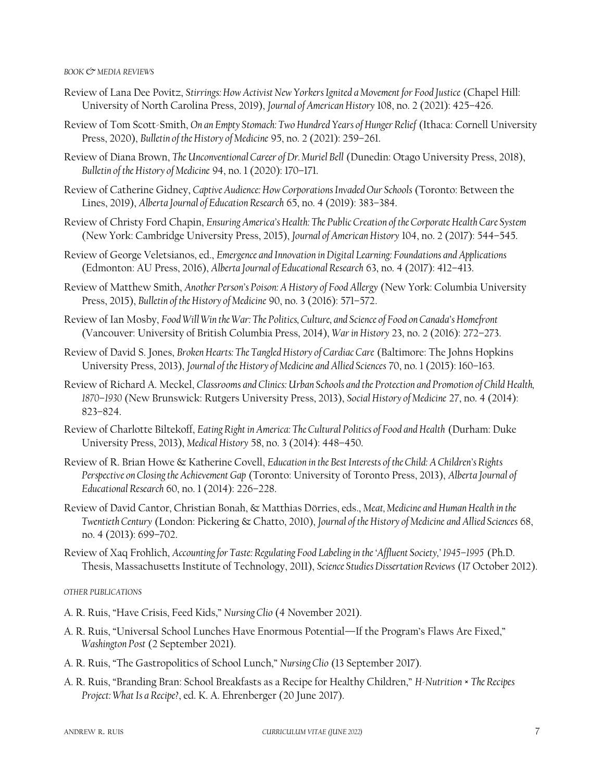#### *BOOK & MEDIA REVIEWS*

- Review of Lana Dee Povitz, *Stirrings: How Activist New Yorkers Ignited a Movement for Food Justice* (Chapel Hill: University of North Carolina Press, 2019), *Journal of American History* 108, no. 2 (2021): 425–426.
- Review of Tom Scott-Smith, *On an Empty Stomach: Two Hundred Years of Hunger Relief* (Ithaca: Cornell University Press, 2020), *Bulletin of the History of Medicine* 95, no. 2 (2021): 259–261.
- Review of Diana Brown, *The Unconventional Career of Dr. Muriel Bell* (Dunedin: Otago University Press, 2018), *Bulletin of the History of Medicine* 94, no. 1 (2020): 170–171.
- Review of Catherine Gidney, *Captive Audience: How Corporations Invaded Our Schools* (Toronto: Between the Lines, 2019), *Alberta Journal of Education Research* 65, no. 4 (2019): 383–384.
- Review of Christy Ford Chapin, *Ensuring America's Health: The Public Creation of the Corporate Health Care System* (New York: Cambridge University Press, 2015), *Journal of American History* 104, no. 2 (2017): 544–545.
- Review of George Veletsianos, ed., *Emergence and Innovation in Digital Learning: Foundations and Applications* (Edmonton: AU Press, 2016), *Alberta Journal of Educational Research* 63, no. 4 (2017): 412–413.
- Review of Matthew Smith, *Another Person's Poison: A History of Food Allergy* (New York: Columbia University Press, 2015), *Bulletin of the History of Medicine* 90, no. 3 (2016): 571–572.
- Review of Ian Mosby, *Food Will Win the War: The Politics, Culture, and Science of Food on Canada's Homefront* (Vancouver: University of British Columbia Press, 2014), *War in History* 23, no. 2 (2016): 272–273.
- Review of David S. Jones, *Broken Hearts: The Tangled History of Cardiac Care* (Baltimore: The Johns Hopkins University Press, 2013), *Journal of the History of Medicine and Allied Sciences* 70, no. 1 (2015): 160–163.
- Review of Richard A. Meckel, *Classrooms and Clinics: Urban Schools and the Protection and Promotion of Child Health, 1870–1930* (New Brunswick: Rutgers University Press, 2013), *Social History of Medicine* 27, no. 4 (2014): 823–824.
- Review of Charlotte Biltekoff, *Eating Right in America: The Cultural Politics of Food and Health* (Durham: Duke University Press, 2013), *Medical History* 58, no. 3 (2014): 448–450.
- Review of R. Brian Howe & Katherine Covell, *Education in the Best Interests of the Child: A Children's Rights Perspective on Closing the Achievement Gap* (Toronto: University of Toronto Press, 2013), *Alberta Journal of Educational Research* 60, no. 1 (2014): 226–228.
- Review of David Cantor, Christian Bonah, & Matthias Dörries, eds., *Meat, Medicine and Human Health in the Twentieth Century* (London: Pickering & Chatto, 2010), *Journal of the History of Medicine and Allied Sciences* 68, no. 4 (2013): 699–702.
- Review of Xaq Frohlich, *Accounting for Taste: Regulating Food Labeling in the 'Affluent Society,' 1945–1995* (Ph.D. Thesis, Massachusetts Institute of Technology, 2011), *Science Studies Dissertation Reviews* (17 October 2012).

#### *OTHER PUBLICATIONS*

- A. R. Ruis, "Have Crisis, Feed Kids," *Nursing Clio* (4 November 2021).
- A. R. Ruis, "Universal School Lunches Have Enormous Potential—If the Program's Flaws Are Fixed," *Washington Post* (2 September 2021).
- A. R. Ruis, "The Gastropolitics of School Lunch," *Nursing Clio* (13 September 2017).
- A. R. Ruis, "Branding Bran: School Breakfasts as a Recipe for Healthy Children," *H-Nutrition × The Recipes Project: What Is a Recipe?*, ed. K. A. Ehrenberger (20 June 2017).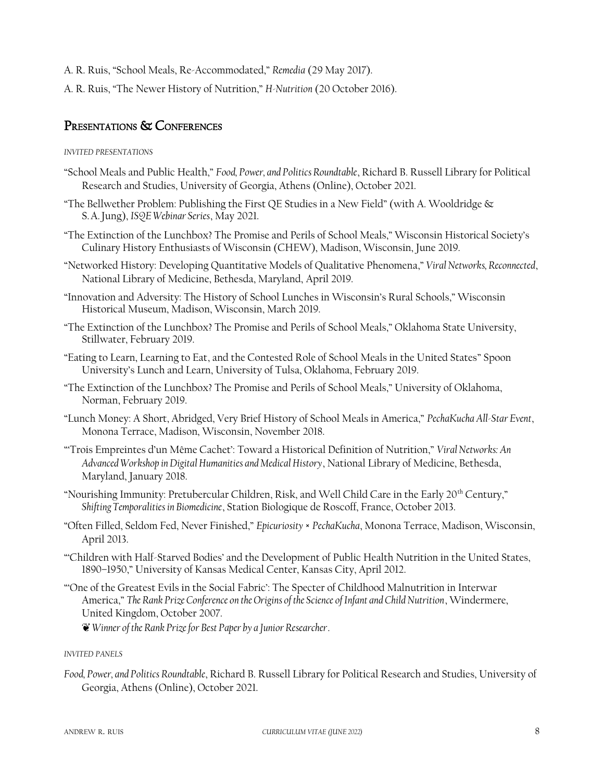- A. R. Ruis, "School Meals, Re-Accommodated," *Remedia* (29 May 2017).
- A. R. Ruis, "The Newer History of Nutrition," *H-Nutrition* (20 October 2016).

### PRESENTATIONS & CONFERENCES

#### *INVITED PRESENTATIONS*

- "School Meals and Public Health," *Food, Power, and Politics Roundtable*, Richard B. Russell Library for Political Research and Studies, University of Georgia, Athens (Online), October 2021.
- "The Bellwether Problem: Publishing the First QE Studies in a New Field" (with A. Wooldridge & S.A.Jung), *ISQE Webinar Series*, May 2021.
- "The Extinction of the Lunchbox? The Promise and Perils of School Meals," Wisconsin Historical Society's Culinary History Enthusiasts of Wisconsin (CHEW), Madison, Wisconsin, June 2019.
- "Networked History: Developing Quantitative Models of Qualitative Phenomena," *Viral Networks, Reconnected*, National Library of Medicine, Bethesda, Maryland, April 2019.
- "Innovation and Adversity: The History of School Lunches in Wisconsin's Rural Schools," Wisconsin Historical Museum, Madison, Wisconsin, March 2019.
- "The Extinction of the Lunchbox? The Promise and Perils of School Meals," Oklahoma State University, Stillwater, February 2019.
- "Eating to Learn, Learning to Eat, and the Contested Role of School Meals in the United States" Spoon University's Lunch and Learn, University of Tulsa, Oklahoma, February 2019.
- "The Extinction of the Lunchbox? The Promise and Perils of School Meals," University of Oklahoma, Norman, February 2019.
- "Lunch Money: A Short, Abridged, Very Brief History of School Meals in America," *PechaKucha All-Star Event*, Monona Terrace, Madison, Wisconsin, November 2018.
- "'Trois Empreintes d'un Même Cachet': Toward a Historical Definition of Nutrition," *Viral Networks: An Advanced Workshop in Digital Humanities and Medical History*, National Library of Medicine, Bethesda, Maryland, January 2018.
- "Nourishing Immunity: Pretubercular Children, Risk, and Well Child Care in the Early 20th Century," *Shifting Temporalities in Biomedicine*, Station Biologique de Roscoff, France, October 2013.
- "Often Filled, Seldom Fed, Never Finished," *Epicuriosity* × *PechaKucha*, Monona Terrace, Madison, Wisconsin, April 2013.
- "'Children with Half-Starved Bodies' and the Development of Public Health Nutrition in the United States, 1890–1950," University of Kansas Medical Center, Kansas City, April 2012.
- "'One of the Greatest Evils in the Social Fabric': The Specter of Childhood Malnutrition in Interwar America," *The Rank Prize Conference on the Origins of the Science of Infant and Child Nutrition*, Windermere, United Kingdom, October 2007.

❦ *Winner of the Rank Prize for Best Paper by a Junior Researcher*.

#### *INVITED PANELS*

*Food, Power, and Politics Roundtable*, Richard B. Russell Library for Political Research and Studies, University of Georgia, Athens (Online), October 2021.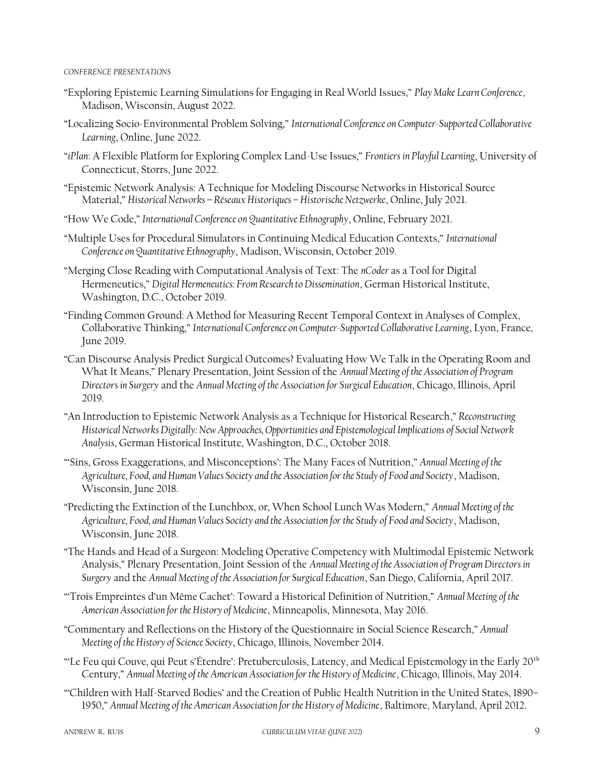#### *CONFERENCE PRESENTATIONS*

- "Exploring Epistemic Learning Simulations for Engaging in Real World Issues," *Play Make Learn Conference*, Madison, Wisconsin, August 2022.
- "Localizing Socio-Environmental Problem Solving," *International Conference on Computer-Supported Collaborative Learning*, Online, June 2022.
- "*iPlan*: A Flexible Platform for Exploring Complex Land-Use Issues," *Frontiers in Playful Learning*, University of Connecticut, Storrs, June 2022.
- "Epistemic Network Analysis: A Technique for Modeling Discourse Networks in Historical Source Material," *Historical Networks – Réseaux Historiques – Historische Netzwerke*, Online, July 2021.
- "How We Code," *International Conference on Quantitative Ethnography*, Online, February 2021.
- "Multiple Uses for Procedural Simulators in Continuing Medical Education Contexts," *International Conference on Quantitative Ethnography*, Madison, Wisconsin, October 2019.
- "Merging Close Reading with Computational Analysis of Text: The *nCoder* as a Tool for Digital Hermeneutics," *Digital Hermeneutics: From Research to Dissemination*, German Historical Institute, Washington, D.C., October 2019.
- "Finding Common Ground: A Method for Measuring Recent Temporal Context in Analyses of Complex, Collaborative Thinking," *International Conference on Computer-Supported Collaborative Learning*, Lyon, France, June 2019.
- "Can Discourse Analysis Predict Surgical Outcomes? Evaluating How We Talk in the Operating Room and What It Means," Plenary Presentation, Joint Session of the *Annual Meeting of the Association of Program Directors in Surgery* and the *Annual Meeting of the Association for Surgical Education*, Chicago, Illinois, April 2019.
- "An Introduction to Epistemic Network Analysis as a Technique for Historical Research," *Reconstructing Historical Networks Digitally: New Approaches, Opportunities and Epistemological Implications of Social Network Analysis*, German Historical Institute, Washington, D.C., October 2018.
- "'Sins, Gross Exaggerations, and Misconceptions': The Many Faces of Nutrition," *Annual Meeting of the Agriculture, Food, and Human Values Society and the Association for the Study of Food and Society*, Madison, Wisconsin, June 2018.
- "Predicting the Extinction of the Lunchbox, or, When School Lunch Was Modern," *Annual Meeting of the Agriculture, Food, and Human Values Society and the Association for the Study of Food and Society*, Madison, Wisconsin, June 2018.
- "The Hands and Head of a Surgeon: Modeling Operative Competency with Multimodal Epistemic Network Analysis," Plenary Presentation, Joint Session of the *Annual Meeting of the Association of Program Directors in Surgery* and the *Annual Meeting of the Association for Surgical Education*, San Diego, California, April 2017.
- "'Trois Empreintes d'un Même Cachet': Toward a Historical Definition of Nutrition," *Annual Meeting of the American Association for the History of Medicine*, Minneapolis, Minnesota, May 2016.
- "Commentary and Reflections on the History of the Questionnaire in Social Science Research," *Annual Meeting of the History of Science Society*, Chicago, Illinois, November 2014.
- "Le Feu qui Couve, qui Peut s'Étendre': Pretuberculosis, Latency, and Medical Epistemology in the Early 20<sup>th</sup> Century," *Annual Meeting of the American Association for the History of Medicine*, Chicago, Illinois, May 2014.
- "'Children with Half-Starved Bodies' and the Creation of Public Health Nutrition in the United States, 1890– 1950," *Annual Meeting of the American Association for the History of Medicine*, Baltimore, Maryland, April 2012.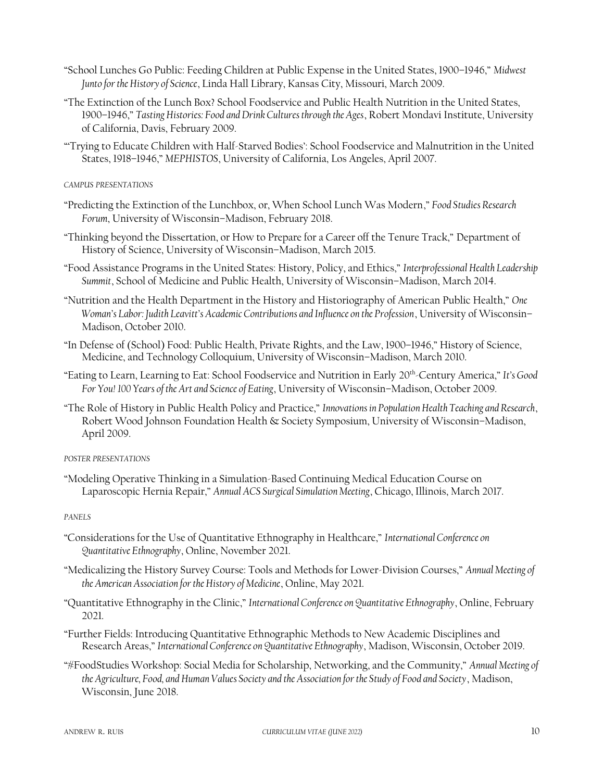- "School Lunches Go Public: Feeding Children at Public Expense in the United States, 1900–1946," *Midwest Junto for the History of Science*, Linda Hall Library, Kansas City, Missouri, March 2009.
- "The Extinction of the Lunch Box? School Foodservice and Public Health Nutrition in the United States, 1900–1946," *Tasting Histories: Food and Drink Cultures through the Ages*, Robert Mondavi Institute, University of California, Davis, February 2009.
- "'Trying to Educate Children with Half-Starved Bodies': School Foodservice and Malnutrition in the United States, 1918–1946," *MEPHISTOS*, University of California, Los Angeles, April 2007.

#### *CAMPUS PRESENTATIONS*

- "Predicting the Extinction of the Lunchbox, or, When School Lunch Was Modern," *Food Studies Research Forum*, University of Wisconsin–Madison, February 2018.
- "Thinking beyond the Dissertation, or How to Prepare for a Career off the Tenure Track," Department of History of Science, University of Wisconsin–Madison, March 2015.
- "Food Assistance Programs in the United States: History, Policy, and Ethics," *Interprofessional Health Leadership Summit*, School of Medicine and Public Health, University of Wisconsin–Madison, March 2014.
- "Nutrition and the Health Department in the History and Historiography of American Public Health," *One Woman's Labor: Judith Leavitt's Academic Contributions and Influence on the Profession*, University of Wisconsin– Madison, October 2010.
- "In Defense of (School) Food: Public Health, Private Rights, and the Law, 1900–1946," History of Science, Medicine, and Technology Colloquium, University of Wisconsin–Madison, March 2010.
- "Eating to Learn, Learning to Eat: School Foodservice and Nutrition in Early 20th-Century America," *It's Good For You! 100 Years of the Art and Science of Eating*, University of Wisconsin–Madison, October 2009.
- "The Role of History in Public Health Policy and Practice," *Innovations in Population Health Teaching and Research*, Robert Wood Johnson Foundation Health & Society Symposium, University of Wisconsin–Madison, April 2009.

#### *POSTER PRESENTATIONS*

"Modeling Operative Thinking in a Simulation-Based Continuing Medical Education Course on Laparoscopic Hernia Repair," *Annual ACS Surgical Simulation Meeting*, Chicago, Illinois, March 2017.

#### *PANELS*

- "Considerations for the Use of Quantitative Ethnography in Healthcare," *International Conference on Quantitative Ethnography*, Online, November 2021.
- "Medicalizing the History Survey Course: Tools and Methods for Lower-Division Courses," *Annual Meeting of the American Association for the History of Medicine*, Online, May 2021.
- "Quantitative Ethnography in the Clinic," *International Conference on Quantitative Ethnography*, Online, February 2021.
- "Further Fields: Introducing Quantitative Ethnographic Methods to New Academic Disciplines and Research Areas," *International Conference on Quantitative Ethnography*, Madison, Wisconsin, October 2019.
- "#FoodStudies Workshop: Social Media for Scholarship, Networking, and the Community," *Annual Meeting of the Agriculture, Food, and Human Values Society and the Association for the Study of Food and Society*, Madison, Wisconsin, June 2018.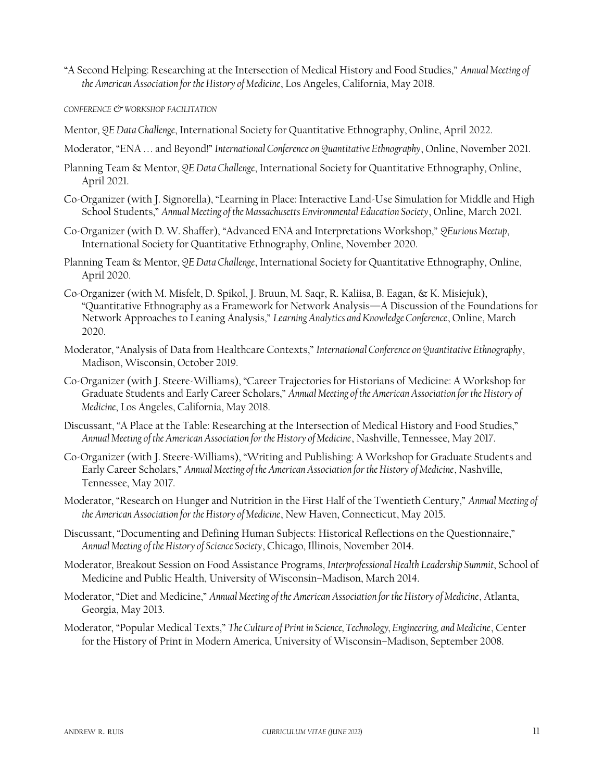"A Second Helping: Researching at the Intersection of Medical History and Food Studies," *Annual Meeting of the American Association for the History of Medicine*, Los Angeles, California, May 2018.

*CONFERENCE & WORKSHOP FACILITATION*

- Mentor, *QE Data Challenge*, International Society for Quantitative Ethnography, Online, April 2022.
- Moderator, "ENA . . . and Beyond!" *International Conference on Quantitative Ethnography*, Online, November 2021.
- Planning Team & Mentor, *QE Data Challenge*, International Society for Quantitative Ethnography, Online, April 2021.
- Co-Organizer (with J. Signorella), "Learning in Place: Interactive Land-Use Simulation for Middle and High School Students," *Annual Meeting of the Massachusetts Environmental Education Society*, Online, March 2021.
- Co-Organizer (with D. W. Shaffer), "Advanced ENA and Interpretations Workshop," *QEurious Meetup*, International Society for Quantitative Ethnography, Online, November 2020.
- Planning Team & Mentor, *QE Data Challenge*, International Society for Quantitative Ethnography, Online, April 2020.
- Co-Organizer (with M. Misfelt, D. Spikol, J. Bruun, M. Saqr, R. Kaliisa, B. Eagan, & K. Misiejuk), "Quantitative Ethnography as a Framework for Network Analysis—A Discussion of the Foundations for Network Approaches to Leaning Analysis," *Learning Analytics and Knowledge Conference*, Online, March 2020.
- Moderator, "Analysis of Data from Healthcare Contexts," *International Conference on Quantitative Ethnography*, Madison, Wisconsin, October 2019.
- Co-Organizer (with J. Steere-Williams), "Career Trajectories for Historians of Medicine: A Workshop for Graduate Students and Early Career Scholars," *Annual Meeting of the American Association for the History of Medicine*, Los Angeles, California, May 2018.
- Discussant, "A Place at the Table: Researching at the Intersection of Medical History and Food Studies," *Annual Meeting of the American Association for the History of Medicine*, Nashville, Tennessee, May 2017.
- Co-Organizer (with J. Steere-Williams), "Writing and Publishing: A Workshop for Graduate Students and Early Career Scholars," *Annual Meeting of the American Association for the History of Medicine*, Nashville, Tennessee, May 2017.
- Moderator, "Research on Hunger and Nutrition in the First Half of the Twentieth Century," *Annual Meeting of the American Association for the History of Medicine*, New Haven, Connecticut, May 2015.
- Discussant, "Documenting and Defining Human Subjects: Historical Reflections on the Questionnaire," *Annual Meeting of the History of Science Society*, Chicago, Illinois, November 2014.
- Moderator, Breakout Session on Food Assistance Programs, *Interprofessional Health Leadership Summit*, School of Medicine and Public Health, University of Wisconsin–Madison, March 2014.
- Moderator, "Diet and Medicine," *Annual Meeting of the American Association for the History of Medicine*, Atlanta, Georgia, May 2013.
- Moderator, "Popular Medical Texts," *The Culture of Print in Science, Technology, Engineering, and Medicine*, Center for the History of Print in Modern America, University of Wisconsin–Madison, September 2008.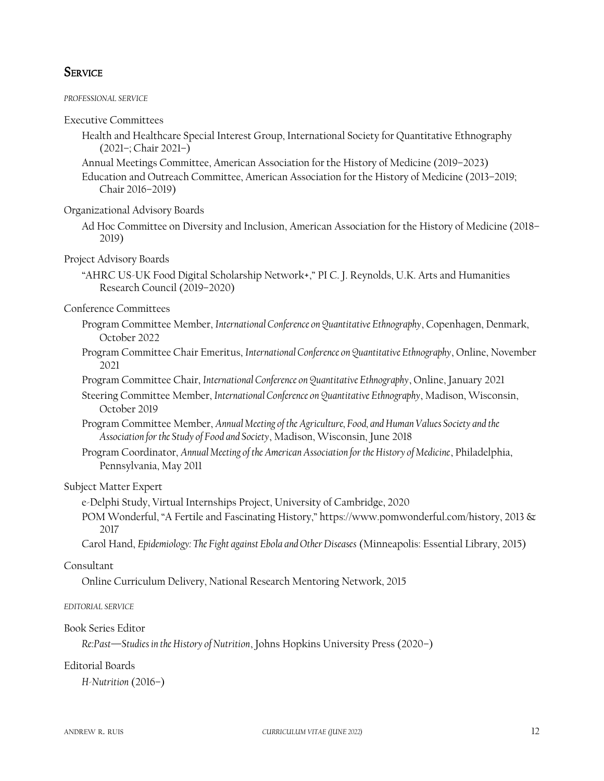### **SERVICE**

*PROFESSIONAL SERVICE*

Executive Committees

- Health and Healthcare Special Interest Group, International Society for Quantitative Ethnography (2021–; Chair 2021–)
- Annual Meetings Committee, American Association for the History of Medicine (2019–2023)
- Education and Outreach Committee, American Association for the History of Medicine (2013–2019; Chair 2016–2019)

Organizational Advisory Boards

Ad Hoc Committee on Diversity and Inclusion, American Association for the History of Medicine (2018– 2019)

Project Advisory Boards

"AHRC US-UK Food Digital Scholarship Network+," PI C. J. Reynolds, U.K. Arts and Humanities Research Council (2019–2020)

Conference Committees

- Program Committee Member, *International Conference on Quantitative Ethnography*, Copenhagen, Denmark, October 2022
- Program Committee Chair Emeritus, *International Conference on Quantitative Ethnography*, Online, November 2021
- Program Committee Chair, *International Conference on Quantitative Ethnography*, Online, January 2021
- Steering Committee Member, *International Conference on Quantitative Ethnography*, Madison, Wisconsin, October 2019
- Program Committee Member, *Annual Meeting of the Agriculture, Food, and Human Values Society and the Association for the Study of Food and Society*, Madison, Wisconsin, June 2018
- Program Coordinator, *Annual Meeting of the American Association for the History of Medicine*, Philadelphia, Pennsylvania, May 2011

#### Subject Matter Expert

- e-Delphi Study, Virtual Internships Project, University of Cambridge, 2020
- POM Wonderful, "A Fertile and Fascinating History," https://www.pomwonderful.com/history, 2013 & 2017
- Carol Hand, *Epidemiology: The Fight against Ebola and Other Diseases* (Minneapolis: Essential Library, 2015)

#### Consultant

Online Curriculum Delivery, National Research Mentoring Network, 2015

#### *EDITORIAL SERVICE*

#### Book Series Editor

*Re:Past—Studies in the History of Nutrition*, Johns Hopkins University Press (2020–)

#### Editorial Boards

*H-Nutrition* (2016–)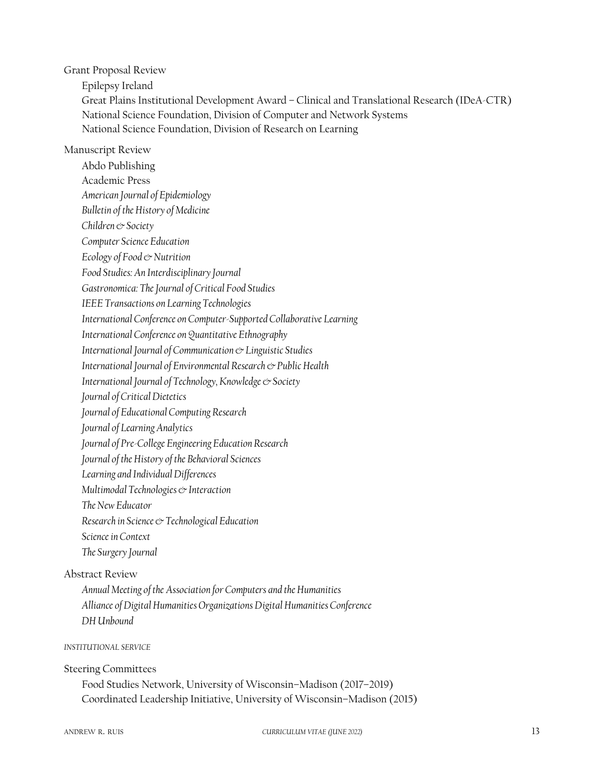Grant Proposal Review

Epilepsy Ireland

Great Plains Institutional Development Award – Clinical and Translational Research (IDeA-CTR) National Science Foundation, Division of Computer and Network Systems National Science Foundation, Division of Research on Learning

#### Manuscript Review

Abdo Publishing Academic Press *American Journal of Epidemiology Bulletin of the History of Medicine Children & Society Computer Science Education Ecology of Food & Nutrition Food Studies: An Interdisciplinary Journal Gastronomica: The Journal of Critical Food Studies IEEE Transactions on Learning Technologies International Conference on Computer-Supported Collaborative Learning International Conference on Quantitative Ethnography International Journal of Communication & Linguistic Studies International Journal of Environmental Research & Public Health International Journal of Technology, Knowledge & Society Journal of Critical Dietetics Journal of Educational Computing Research Journal of Learning Analytics Journal of Pre-College Engineering Education Research Journal of the History of the Behavioral Sciences Learning and Individual Differences Multimodal Technologies & Interaction The New Educator Research in Science & Technological Education Science in Context The Surgery Journal*

### Abstract Review

*Annual Meeting of the Association for Computers and the Humanities Alliance of Digital Humanities Organizations Digital Humanities Conference DH Unbound*

#### *INSTITUTIONAL SERVICE*

#### Steering Committees

Food Studies Network, University of Wisconsin–Madison (2017–2019) Coordinated Leadership Initiative, University of Wisconsin–Madison (2015)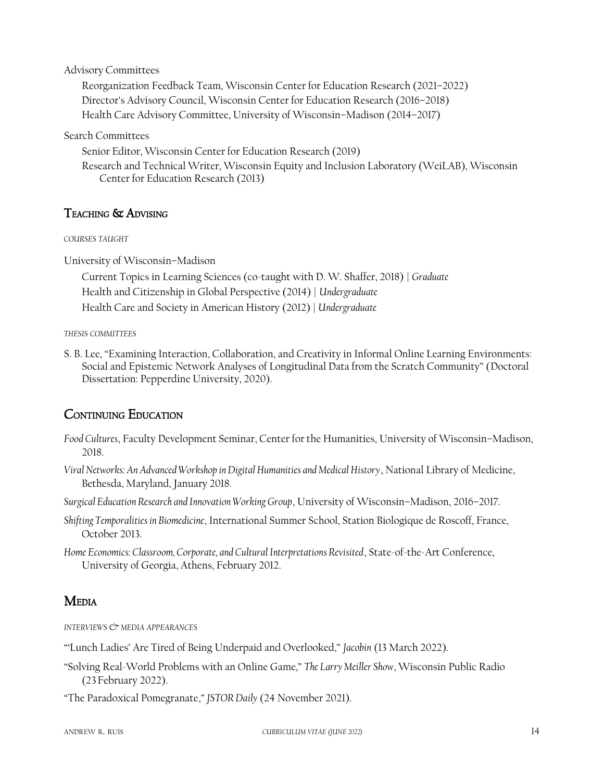#### Advisory Committees

Reorganization Feedback Team, Wisconsin Center for Education Research (2021–2022) Director's Advisory Council, Wisconsin Center for Education Research (2016–2018) Health Care Advisory Committee, University of Wisconsin–Madison (2014–2017)

Search Committees

Senior Editor, Wisconsin Center for Education Research (2019)

Research and Technical Writer, Wisconsin Equity and Inclusion Laboratory (WeiLAB), Wisconsin Center for Education Research (2013)

### TEACHING & ADVISING

*COURSES TAUGHT*

University of Wisconsin–Madison

Current Topics in Learning Sciences (co-taught with D. W. Shaffer, 2018) | *Graduate* Health and Citizenship in Global Perspective (2014) | *Undergraduate* Health Care and Society in American History (2012) | *Undergraduate*

#### *THESIS COMMITTEES*

S. B. Lee, "Examining Interaction, Collaboration, and Creativity in Informal Online Learning Environments: Social and Epistemic Network Analyses of Longitudinal Data from the Scratch Community" (Doctoral Dissertation: Pepperdine University, 2020).

# CONTINUING EDUCATION

- *Food Cultures*, Faculty Development Seminar, Center for the Humanities, University of Wisconsin–Madison, 2018.
- *Viral Networks: An Advanced Workshop in Digital Humanities and Medical History*, National Library of Medicine, Bethesda, Maryland, January 2018.

*Surgical Education Research and Innovation Working Group*, University of Wisconsin–Madison, 2016–2017.

*Shifting Temporalities in Biomedicine*, International Summer School, Station Biologique de Roscoff, France, October 2013.

*Home Economics: Classroom, Corporate, and Cultural Interpretations Revisited*, State-of-the-Art Conference, University of Georgia, Athens, February 2012.

# MEDIA

*INTERVIEWS & MEDIA APPEARANCES*

"'Lunch Ladies' Are Tired of Being Underpaid and Overlooked," *Jacobin* (13 March 2022).

"Solving Real-World Problems with an Online Game," *The Larry Meiller Show*, Wisconsin Public Radio (23February 2022).

"The Paradoxical Pomegranate," *JSTOR Daily* (24 November 2021).